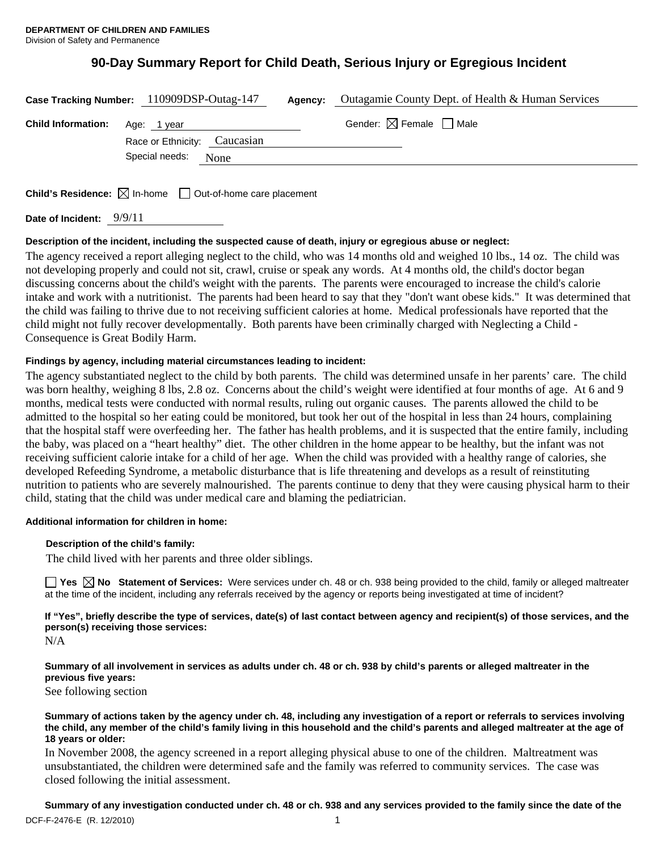# **90-Day Summary Report for Child Death, Serious Injury or Egregious Incident**

|                           | Case Tracking Number: 110909DSP-Outag-147   | Agency: | Outagamie County Dept. of Health & Human Services |
|---------------------------|---------------------------------------------|---------|---------------------------------------------------|
| <b>Child Information:</b> | Age: 1 year<br>Race or Ethnicity: Caucasian |         | Gender: $\boxtimes$ Female $\Box$ Male            |
|                           | Special needs:<br>None                      |         |                                                   |
|                           |                                             |         |                                                   |

**Child's Residence:**  $\boxtimes$  In-home  $\Box$  Out-of-home care placement

**Date of Incident:** 9/9/11

### **Description of the incident, including the suspected cause of death, injury or egregious abuse or neglect:**

The agency received a report alleging neglect to the child, who was 14 months old and weighed 10 lbs., 14 oz. The child was not developing properly and could not sit, crawl, cruise or speak any words. At 4 months old, the child's doctor began discussing concerns about the child's weight with the parents. The parents were encouraged to increase the child's calorie intake and work with a nutritionist. The parents had been heard to say that they "don't want obese kids." It was determined that the child was failing to thrive due to not receiving sufficient calories at home. Medical professionals have reported that the child might not fully recover developmentally. Both parents have been criminally charged with Neglecting a Child - Consequence is Great Bodily Harm.

### **Findings by agency, including material circumstances leading to incident:**

The agency substantiated neglect to the child by both parents. The child was determined unsafe in her parents' care. The child was born healthy, weighing 8 lbs, 2.8 oz. Concerns about the child's weight were identified at four months of age. At 6 and 9 months, medical tests were conducted with normal results, ruling out organic causes. The parents allowed the child to be admitted to the hospital so her eating could be monitored, but took her out of the hospital in less than 24 hours, complaining that the hospital staff were overfeeding her. The father has health problems, and it is suspected that the entire family, including the baby, was placed on a "heart healthy" diet. The other children in the home appear to be healthy, but the infant was not receiving sufficient calorie intake for a child of her age. When the child was provided with a healthy range of calories, she developed Refeeding Syndrome, a metabolic disturbance that is life threatening and develops as a result of reinstituting nutrition to patients who are severely malnourished. The parents continue to deny that they were causing physical harm to their child, stating that the child was under medical care and blaming the pediatrician.

### **Additional information for children in home:**

### **Description of the child's family:**

The child lived with her parents and three older siblings.

**Yes No Statement of Services:** Were services under ch. 48 or ch. 938 being provided to the child, family or alleged maltreater at the time of the incident, including any referrals received by the agency or reports being investigated at time of incident?

**If "Yes", briefly describe the type of services, date(s) of last contact between agency and recipient(s) of those services, and the person(s) receiving those services:** 

**Summary of all involvement in services as adults under ch. 48 or ch. 938 by child's parents or alleged maltreater in the previous five years:** 

See following section

#### **Summary of actions taken by the agency under ch. 48, including any investigation of a report or referrals to services involving the child, any member of the child's family living in this household and the child's parents and alleged maltreater at the age of 18 years or older:**

In November 2008, the agency screened in a report alleging physical abuse to one of the children. Maltreatment was unsubstantiated, the children were determined safe and the family was referred to community services. The case was closed following the initial assessment.

**Summary of any investigation conducted under ch. 48 or ch. 938 and any services provided to the family since the date of the** 

N/A